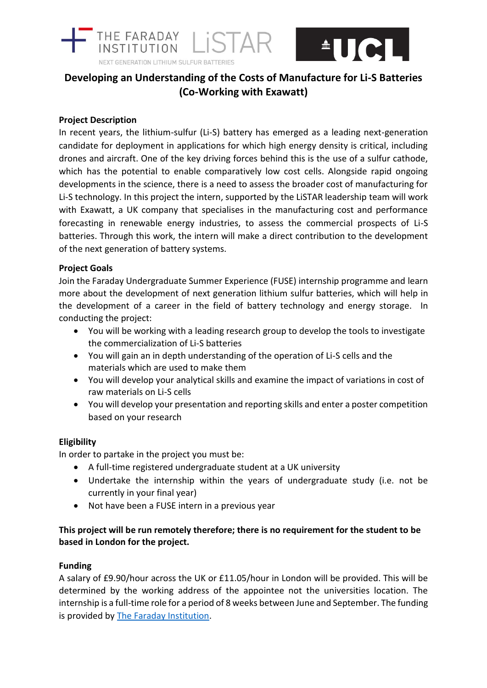



# **Developing an Understanding of the Costs of Manufacture for Li-S Batteries (Co-Working with Exawatt)**

# **Project Description**

In recent years, the lithium-sulfur (Li-S) battery has emerged as a leading next-generation candidate for deployment in applications for which high energy density is critical, including drones and aircraft. One of the key driving forces behind this is the use of a sulfur cathode, which has the potential to enable comparatively low cost cells. Alongside rapid ongoing developments in the science, there is a need to assess the broader cost of manufacturing for Li-S technology. In this project the intern, supported by the LiSTAR leadership team will work with Exawatt, a UK company that specialises in the manufacturing cost and performance forecasting in renewable energy industries, to assess the commercial prospects of Li-S batteries. Through this work, the intern will make a direct contribution to the development of the next generation of battery systems.

## **Project Goals**

Join the Faraday Undergraduate Summer Experience (FUSE) internship programme and learn more about the development of next generation lithium sulfur batteries, which will help in the development of a career in the field of battery technology and energy storage. In conducting the project:

- You will be working with a leading research group to develop the tools to investigate the commercialization of Li-S batteries
- You will gain an in depth understanding of the operation of Li-S cells and the materials which are used to make them
- You will develop your analytical skills and examine the impact of variations in cost of raw materials on Li-S cells
- You will develop your presentation and reporting skills and enter a poster competition based on your research

## **Eligibility**

In order to partake in the project you must be:

- A full-time registered undergraduate student at a UK university
- Undertake the internship within the years of undergraduate study (i.e. not be currently in your final year)
- Not have been a FUSE intern in a previous year

# **This project will be run remotely therefore; there is no requirement for the student to be based in London for the project.**

#### **Funding**

A salary of £9.90/hour across the UK or £11.05/hour in London will be provided. This will be determined by the working address of the appointee not the universities location. The internship is a full-time role for a period of 8 weeks between June and September. The funding is provided by [The Faraday Institution.](http://www.faraday.ac.uk/)